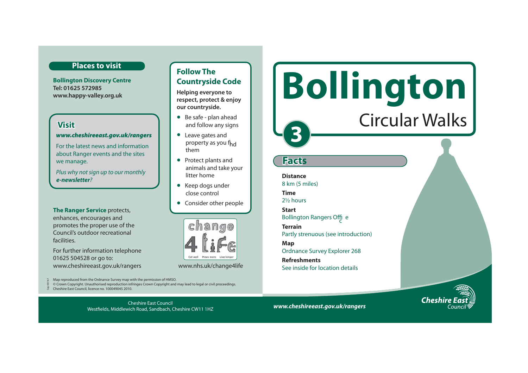### **Places to visit**

**Bollington Discovery Centre Tel: 01625 572985 www.happy-valley.org.uk** 

# **Visit**

#### *www.cheshireeast.gov.uk/rangers*

For the latest news and information about Ranger events and the sites we manage.

Plus why not sign up to our monthly *e-newsletter*?

**The Ranger Service** protects, enhances, encourages and promotes the proper use of the Council's outdoor recreational facilities.

For further information telephone 01625 504528 or go to: www.cheshireeast.gov.uk/rangers www.nhs.uk/change4life

**Follow The Countryside Code** 

**Helping everyone to respect, protect & enjoy our countryside.**

- Be safe plan ahead and follow any signs
- Leave gates and property as you f<sub>hd</sub> them
- Protect plants and animals and take your litter home
- Keep dogs under close control
- Consider other people



Map reproduced from the Ordnance Survey map with the permission of HMSO.

© Crown Copyright. Unauthorised reproduction infringes Crown Copyright and may lead to legal or civil proceedings.

Cheshire East Council, licence no. 100049045 2010. Sep 09/167

> Cheshire East Council Westfields, Middlewich Road, Sandbach, Cheshire CW11 1HZ

# **Bollington**  Circular Walks

# **Facts**

**3** 

**Distance** 8 km (5 miles) **Time** 2½ hours

**Start** Bollington Rangers Offic <sup>e</sup>

**Terrain** Partly strenuous (see introduction)

**Map**  Ordnance Survey Explorer 268

**Refreshments**  See inside for location details



*www.cheshireeast.gov.uk/rangers*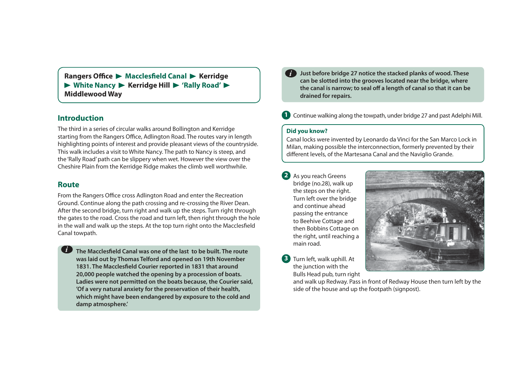**Rangers Office • Macclesfield Canal • Kerridge** ▶ White Nancy ▶ Kerridge Hill ▶ 'Rally Road' ▶ **Middlewood Way** 

# **Introduction**

The third in a series of circular walks around Bollington and Kerridge starting from the Rangers Office, Adlington Road. The routes vary in length highlighting points of interest and provide pleasant views of the countryside. This walk includes a visit to White Nancy. The path to Nancy is steep, and the 'Rally Road' path can be slippery when wet. However the view over the Cheshire Plain from the Kerridge Ridge makes the climb well worthwhile.

## **Route**

*i*

From the Rangers Office cross Adlington Road and enter the Recreation Ground. Continue along the path crossing and re-crossing the River Dean. After the second bridge, turn right and walk up the steps. Turn right through the gates to the road. Cross the road and turn left, then right through the hole in the wall and walk up the steps. At the top turn right onto the Macclesfield Canal towpath.

**The Macclesfield Canal was one of the last to be built. The route was laid out by Thomas Telford and opened on 19th November 1831. The Macclesfield Courier reported in 1831 that around 20,000 people watched the opening by a procession of boats. Ladies were not permitted on the boats because, the Courier said, 'Of a very natural anxiety for the preservation of their health, which might have been endangered by exposure to the cold and damp atmosphere.'** 

- **Just before bridge 27 notice the stacked planks of wood. These can be slotted into the grooves located near the bridge, where the canal is narrow; to seal off a length of canal so that it can be drained for repairs.**  *i*
- **1** Continue walking along the towpath, under bridge 27 and past Adelphi Mill.

# **Did you know?**

Canal locks were invented by Leonardo da Vinci for the San Marco Lock in Milan, making possible the interconnection, formerly prevented by their different levels, of the Martesana Canal and the Naviglio Grande.

- **2** As you reach Greens bridge (no.28), walk up the steps on the right. Turn left over the bridge and continue ahead passing the entrance to Beehive Cottage and then Bobbins Cottage on the right, until reaching a main road.
- **3** Turn left, walk uphill. At the junction with the Bulls Head pub, turn right



and walk up Redway. Pass in front of Redway House then turn left by the side of the house and up the footpath (signpost).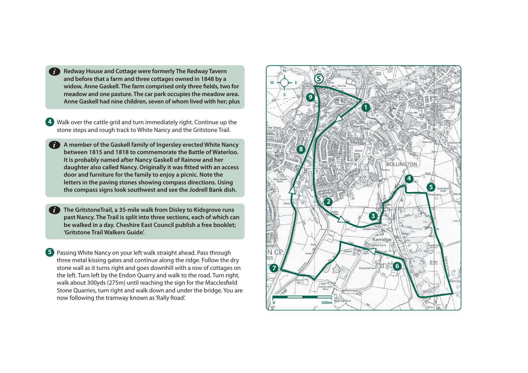**Redway House and Cottage were formerly The Redway Tavern and before that a farm and three cottages owned in 1848 by a**  widow, Anne Gaskell. The farm comprised only three fields, two for **meadow and one pasture. The car park occupies the meadow area. Anne Gaskell had nine children, seven of whom lived with her; plus** 

**4** Walk over the cattle grid and turn immediately right. Continue up the stone steps and rough track to White Nancy and the Gritstone Trail.

**A member of the Gaskell family of Ingersley erected White Nancy**  *i***between 1815 and 1818 to commemorate the Battle of Waterloo. It is probably named after Nancy Gaskell of Rainow and her daughter also called Nancy. Originally it was fitted with an access door and furniture for the family to enjoy a picnic. Note the letters in the paving stones showing compass directions. Using the compass signs look southwest and see the Jodrell Bank dish.** 

**The GritstoneTrail, a 35-mile walk from Disley to Kidsgrove runs past Nancy. The Trail is split into three sections, each of which can be walked in a day. Cheshire East Council publish a free booklet; 'Gritstone Trail Walkers Guide'.** *i*

**5** Passing White Nancy on your left walk straight ahead. Pass through three metal kissing gates and continue along the ridge. Follow the dry stone wall as it turns right and goes downhill with a row of cottages on the left. Turn left by the Endon Quarry and walk to the road. Turn right, walk about 300yds (275m) until reaching the sign for the Macclesfield Stone Quarries, turn right and walk down and under the bridge. You are now following the tramway known as 'Rally Road'. **0 600 m as 1991 and 1991 and 1991 and 1991 and 1991 and 1991**